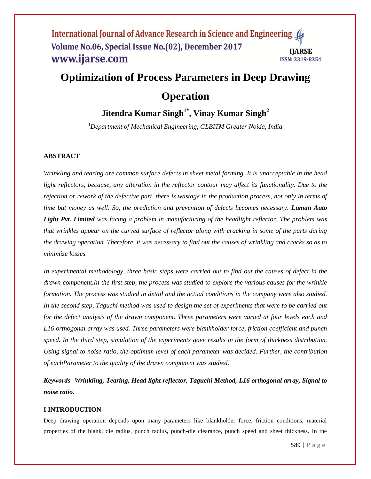# **Optimization of Process Parameters in Deep Drawing**

## **Operation**

## **Jitendra Kumar Singh1\* , Vinay Kumar Singh<sup>2</sup>**

<sup>1</sup>*Department of Mechanical Engineering, GLBITM Greater Noida, India*

## **ABSTRACT**

*Wrinkling and tearing are common surface defects in sheet metal forming. It is unacceptable in the head*  light reflectors, because, any alteration in the reflector contour may affect its functionality. Due to the *rejection or rework of the defective part, there is wastage in the production process, not only in terms of time but money as well. So, the prediction and prevention of defects becomes necessary. Luman Auto Light Pvt. Limited was facing a problem in manufacturing of the headlight reflector. The problem was that wrinkles appear on the curved surface of reflector along with cracking in some of the parts during the drawing operation. Therefore, it was necessary to find out the causes of wrinkling and cracks so as to minimize losses.*

*In experimental methodology, three basic steps were carried out to find out the causes of defect in the drawn component.In the first step, the process was studied to explore the various causes for the wrinkle formation. The process was studied in detail and the actual conditions in the company were also studied. In the second step, Taguchi method was used to design the set of experiments that were to be carried out for the defect analysis of the drawn component. Three parameters were varied at four levels each and L16 orthogonal array was used. Three parameters were blankholder force, friction coefficient and punch speed. In the third step, simulation of the experiments gave results in the form of thickness distribution. Using signal to noise ratio, the optimum level of each parameter was decided. Further, the contribution of eachParameter to the quality of the drawn component was studied.*

*Keywords- Wrinkling, Tearing, Head light reflector, Taguchi Method, L16 orthogonal array, Signal to noise ratio.* 

## **I INTRODUCTION**

Deep drawing operation depends upon many parameters like blankholder force, friction conditions, material properties of the blank, die radius, punch radius, punch-die clearance, punch speed and sheet thickness. In the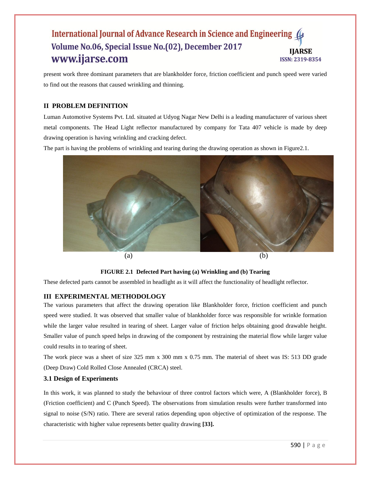present work three dominant parameters that are blankholder force, friction coefficient and punch speed were varied to find out the reasons that caused wrinkling and thinning.

## **II PROBLEM DEFINITION**

Luman Automotive Systems Pvt. Ltd. situated at Udyog Nagar New Delhi is a leading manufacturer of various sheet metal components. The Head Light reflector manufactured by company for Tata 407 vehicle is made by deep drawing operation is having wrinkling and cracking defect.

The part is having the problems of wrinkling and tearing during the drawing operation as shown in Figure2.1.



#### **FIGURE 2.1 Defected Part having (a) Wrinkling and (b) Tearing**

These defected parts cannot be assembled in headlight as it will affect the functionality of headlight reflector.

## **III EXPERIMENTAL METHODOLOGY**

The various parameters that affect the drawing operation like Blankholder force, friction coefficient and punch speed were studied. It was observed that smaller value of blankholder force was responsible for wrinkle formation while the larger value resulted in tearing of sheet. Larger value of friction helps obtaining good drawable height. Smaller value of punch speed helps in drawing of the component by restraining the material flow while larger value could results in to tearing of sheet.

The work piece was a sheet of size 325 mm x 300 mm x 0.75 mm. The material of sheet was IS: 513 DD grade (Deep Draw) Cold Rolled Close Annealed (CRCA) steel.

#### **3.1 Design of Experiments**

In this work, it was planned to study the behaviour of three control factors which were, A (Blankholder force), B (Friction coefficient) and C (Punch Speed). The observations from simulation results were further transformed into signal to noise (S/N) ratio. There are several ratios depending upon objective of optimization of the response. The characteristic with higher value represents better quality drawing **[33].**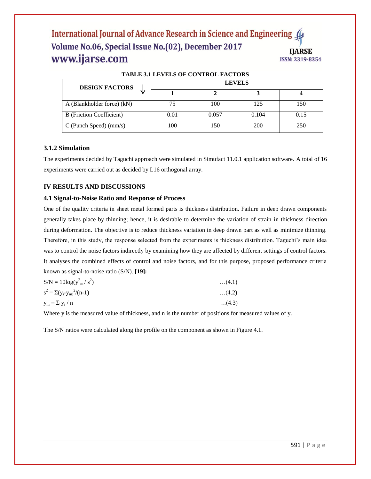| TADLE 3.1 LEVELS OF CONTINUE FACTORS |               |       |       |      |  |  |
|--------------------------------------|---------------|-------|-------|------|--|--|
| <b>DESIGN FACTORS</b>                | <b>LEVELS</b> |       |       |      |  |  |
|                                      |               |       |       |      |  |  |
| A (Blankholder force) (kN)           | 75            | 100   | 125   | 150  |  |  |
| <b>B</b> (Friction Coefficient)      | 0.01          | 0.057 | 0.104 | 0.15 |  |  |
| $C$ (Punch Speed) (mm/s)             | 100           | 150   | 200   | 250  |  |  |

## **TABLE 3.1 LEVELS OF CONTROL FACTORS**

## **3.1.2 Simulation**

The experiments decided by Taguchi approach were simulated in Simufact 11.0.1 application software. A total of 16 experiments were carried out as decided by L16 orthogonal array.

## **IV RESULTS AND DISCUSSIONS**

#### **4.1 Signal-to-Noise Ratio and Response of Process**

One of the quality criteria in sheet metal formed parts is thickness distribution. Failure in deep drawn components generally takes place by thinning; hence, it is desirable to determine the variation of strain in thickness direction during deformation. The objective is to reduce thickness variation in deep drawn part as well as minimize thinning. Therefore, in this study, the response selected from the experiments is thickness distribution. Taguchi"s main idea was to control the noise factors indirectly by examining how they are affected by different settings of control factors. It analyses the combined effects of control and noise factors, and for this purpose, proposed performance criteria known as signal-to-noise ratio (S/N). **[19]:**

| $S/N = 10\log(y_{m}^2/s^2)$       | (4.1) |  |
|-----------------------------------|-------|--|
| $s^2 = \Sigma(y_i - y_m)^2/(n-1)$ | (4.2) |  |
| $y_m = \sum y_i / n$              | (4.3) |  |

Where y is the measured value of thickness, and n is the number of positions for measured values of y.

The S/N ratios were calculated along the profile on the component as shown in Figure 4.1.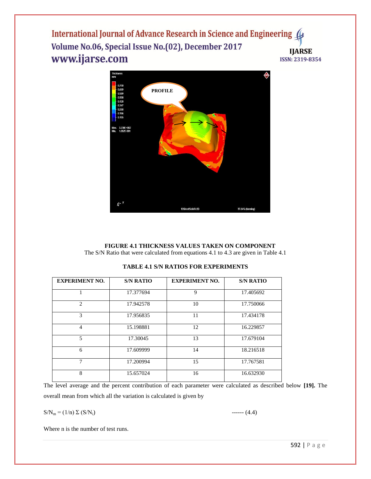

#### **FIGURE 4.1 THICKNESS VALUES TAKEN ON COMPONENT** The S/N Ratio that were calculated from equations 4.1 to 4.3 are given in Table 4.1

| <b>EXPERIMENT NO.</b>    | <b>S/N RATIO</b> | <b>EXPERIMENT NO.</b> | <b>S/N RATIO</b> |
|--------------------------|------------------|-----------------------|------------------|
|                          | 17.377694        | 9                     | 17.405692        |
| $\mathfrak{D}_{1}^{(1)}$ | 17.942578        | 10                    | 17.750066        |
| 3                        | 17.956835        | 11                    | 17.434178        |
| 4                        | 15.198881        | 12                    | 16.229857        |
| $\overline{5}$           | 17.30045         | 13                    | 17.679104        |
| 6                        | 17.609999        | 14                    | 18.216518        |
| 7                        | 17.200994        | 15                    | 17.767581        |
| 8                        | 15.657024        | 16                    | 16.632930        |

## **TABLE 4.1 S/N RATIOS FOR EXPERIMENTS**

The level average and the percent contribution of each parameter were calculated as described below **[19].** The overall mean from which all the variation is calculated is given by

 $SN_m = (1/n) \Sigma (S/N_i)$  ------ (4.4)

Where n is the number of test runs.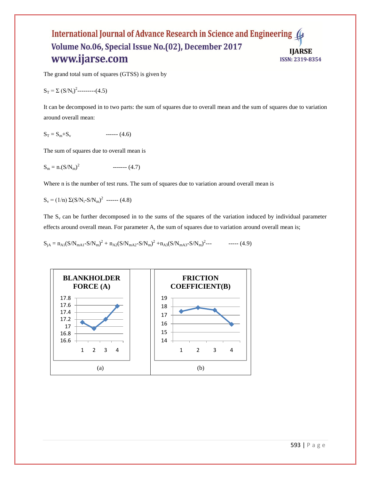The grand total sum of squares (GTSS) is given by

$$
S_T = \Sigma (S/N_i)^2 \dots (4.5)
$$

It can be decomposed in to two parts: the sum of squares due to overall mean and the sum of squares due to variation around overall mean:

$$
S_T = S_m + S_v \qquad \qquad \text{---} \quad (4.6)
$$

The sum of squares due to overall mean is

$$
S_m = n.(S/N_m)^2
$$
 (4.7)

Where n is the number of test runs. The sum of squares due to variation around overall mean is

 $S_v = (1/n) \Sigma (S/N_i-S/N_m)^2$  ------ (4.8)

The  $S_v$  can be further decomposed in to the sums of the squares of the variation induced by individual parameter effects around overall mean. For parameter A, the sum of squares due to variation around overall mean is;

$$
S_{jA} = n_{A1}(S/N_{mA1} - S/N_m)^2 + n_{A2}(S/N_{mA2} - S/N_m)^2 + n_{A3}(S/N_{mA3} - S/N_m)^2 - \dots
$$
 (4.9)

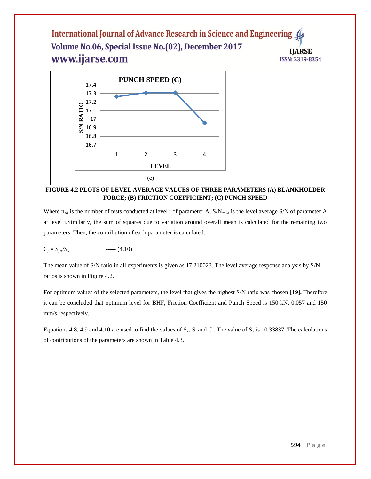

**FIGURE 4.2 PLOTS OF LEVEL AVERAGE VALUES OF THREE PARAMETERS (A) BLANKHOLDER FORCE; (B) FRICTION COEFFICIENT; (C) PUNCH SPEED**

Where  $n_{Ai}$  is the number of tests conducted at level i of parameter A;  $S/N_{mAi}$  is the level average S/N of parameter A at level i.Similarly, the sum of squares due to variation around overall mean is calculated for the remaining two parameters. Then, the contribution of each parameter is calculated:

$$
C_j = S_{jA}/S_v
$$
 --- (4.10)

The mean value of S/N ratio in all experiments is given as 17.210023. The level average response analysis by S/N ratios is shown in Figure 4.2.

For optimum values of the selected parameters, the level that gives the highest S/N ratio was chosen **[19].** Therefore it can be concluded that optimum level for BHF, Friction Coefficient and Punch Speed is 150 kN, 0.057 and 150 mm/s respectively.

Equations 4.8, 4.9 and 4.10 are used to find the values of  $S_v$ ,  $S_j$  and  $C_j$ . The value of  $S_v$  is 10.33837. The calculations of contributions of the parameters are shown in Table 4.3.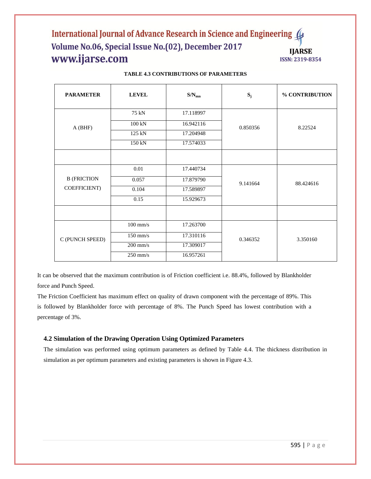| <b>PARAMETER</b>   | <b>LEVEL</b>     | $\text{S/N}_{\text{mn}}$ | $S_j$    | % CONTRIBUTION |
|--------------------|------------------|--------------------------|----------|----------------|
| A(BHF)             | 75 kN            | 17.118997                |          | 8.22524        |
|                    | $100 \text{ kN}$ | 16.942116                | 0.850356 |                |
|                    | 125 kN           | 17.204948                |          |                |
|                    | 150 kN           | 17.574033                |          |                |
|                    |                  |                          |          |                |
|                    | $0.01\,$         | 17.440734                |          | 88.424616      |
| <b>B</b> (FRICTION | 0.057            | 17.879790                | 9.141664 |                |
| COEFFICIENT)       | 0.104            | 17.589897                |          |                |
|                    | 0.15             | 15.929673                |          |                |
|                    |                  |                          |          |                |
| C (PUNCH SPEED)    | $100$ mm/s       | 17.263700                |          |                |
|                    | $150$ mm/s       | 17.310116                | 0.346352 | 3.350160       |
|                    | $200$ mm/s       | 17.309017                |          |                |
|                    | $250$ mm/s       | 16.957261                |          |                |

#### **TABLE 4.3 CONTRIBUTIONS OF PARAMETERS**

It can be observed that the maximum contribution is of Friction coefficient i.e. 88.4%, followed by Blankholder force and Punch Speed.

The Friction Coefficient has maximum effect on quality of drawn component with the percentage of 89%. This is followed by Blankholder force with percentage of 8%. The Punch Speed has lowest contribution with a percentage of 3%.

## **4.2 Simulation of the Drawing Operation Using Optimized Parameters**

The simulation was performed using optimum parameters as defined by Table 4.4. The thickness distribution in simulation as per optimum parameters and existing parameters is shown in Figure 4.3.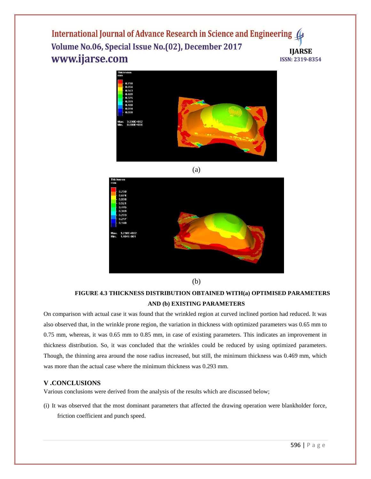



 **FIGURE 4.3 THICKNESS DISTRIBUTION OBTAINED WITH(a) OPTIMISED PARAMETERS AND (b) EXISTING PARAMETERS**

On comparison with actual case it was found that the wrinkled region at curved inclined portion had reduced. It was also observed that, in the wrinkle prone region, the variation in thickness with optimized parameters was 0.65 mm to 0.75 mm, whereas, it was 0.65 mm to 0.85 mm, in case of existing parameters. This indicates an improvement in thickness distribution. So, it was concluded that the wrinkles could be reduced by using optimized parameters. Though, the thinning area around the nose radius increased, but still, the minimum thickness was 0.469 mm, which was more than the actual case where the minimum thickness was 0.293 mm.

## **V .CONCLUSIONS**

Various conclusions were derived from the analysis of the results which are discussed below;

(i) It was observed that the most dominant parameters that affected the drawing operation were blankholder force, friction coefficient and punch speed.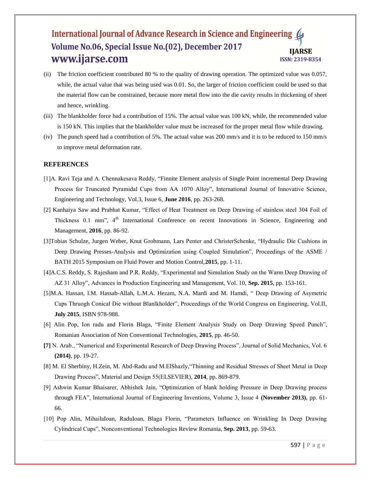- (ii) The friction coefficient contributed 80 % to the quality of drawing operation. The optimized value was 0.057, while, the actual value that was being used was 0.01. So, the larger of friction coefficient could be used so that the material flow can be constrained, because more metal flow into the die cavity results in thickening of sheet and hence, wrinkling.
- (iii) The blankholder force had a contribution of 15%. The actual value was 100 kN, while, the recommended value is 150 kN. This implies that the blankholder value must be increased for the proper metal flow while drawing.
- (iv) The punch speed had a contribution of 5%. The actual value was 200 mm/s and it is to be reduced to 150 mm/s to improve metal deformation rate.

#### **REFERENCES**

- [1]A. Ravi Teja and A. Chennakesava Reddy, "Finnite Element analysis of Single Point incremental Deep Drawing Process for Truncated Pyramidal Cups from AA 1070 Alloy", International Journal of Innovative Science, Engineering and Technology, Vol.3, Issue 6, **June 2016**, pp. 263-268.
- [2] Kanhaiya Saw and Prabhat Kumar, "Effect of Heat Treatment on Deep Drawing of stainless steel 304 Foil of Thickness 0.1 mm", 4<sup>th</sup> International Conference on recent Innovations in Science, Engineering and Management, **2016**, pp. 86-92.
- [3]Tobias Schulze, Jurgen Weber, Knut Grobmann, Lars Penter and ChristerSchenke, "Hydraulic Die Cushions in Deep Drawing Presses-Analysis and Optimization using Coupled Simulation", Proceedings of the ASME / BATH 2015 Symposium on Fluid Power and Motion Control,**2015**, pp. 1-11.
- [4]A.C.S. Reddy, S. Rajesham and P.R. Reddy, "Experimental and Simulation Study on the Warm Deep Drawing of AZ 31 Alloy", Advances in Production Engineering and Management, Vol. 10, **Sep. 2015**, pp. 153-161.
- [5]M.A. Hassan, I.M. Hassab-Allah, L.M.A. Hezam, N.A. Mardi and M. Hamdi, " Deep Drawing of Asymetric Cups Thruogh Conical Die without Blanlkholder", Proceedings of the World Congress on Engineering, Vol.II, **July 2015**, ISBN 978-988.
- [6] Alin Pop, Ion radu and Florin Blaga, "Finite Element Analysis Study on Deep Drawing Speed Punch", Romanian Association of Non Conventional Technologies, **2015**, pp. 46-50.
- **[7]** N. Arab., "Numerical and Experimental Research of Deep Drawing Process", Journal of Solid Mechanics, Vol. 6 **(2014)**, pp. 19-27.
- [8] M. El Sherbiny, H.Zein, M. Abd-Radu and M.ElShazly,"Thinning and Residual Stresses of Sheet Metal in Deep Drawing Process", Material and Design 55(ELSEVIER), **2014**, pp. 869-879.
- [9] Ashwin Kumar Bhaisarer, Abhishek Jain, "Optimization of blank holding Pressure in Deep Drawing process through FEA", International Journal of Engineering Inventions, Volume 3, Issue 4 **(November 2013)**, pp. 61- 66.
- [10] Pop Alin, MihailaIoan, RaduIoan, Blaga Florin, "Parameters Influence on Wrinkling In Deep Drawing Cylindrical Cups", Nonconventional Technologies Review Romania, **Sep. 2013**, pp. 59-63.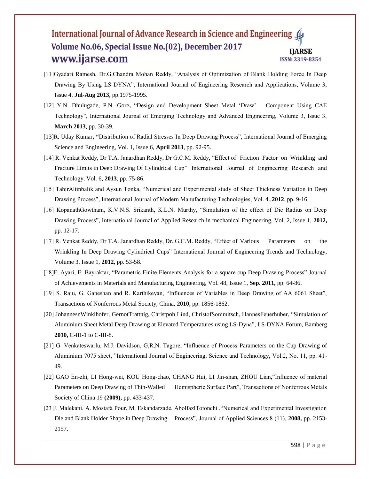- [11]Gyadari Ramesh, Dr.G.Chandra Mohan Reddy, "Analysis of Optimization of Blank Holding Force In Deep Drawing By Using LS DYNA", International Journal of Engineering Research and Applications, Volume 3, Issue 4, **Jul-Aug 2013**, pp.1975-1995.
- [12] Y.N. Dhulugade, P.N. Gore**,** "Design and Development Sheet Metal "Draw" Component Using CAE Technology", International Journal of Emerging Technology and Advanced Engineering, Volume 3, Issue 3, **March 2013**, pp. 30-39.
- [13]R. Uday Kumar**, "**Distribution of Radial Stresses In Deep Drawing Process", International Journal of Emerging Science and Engineering, Vol. 1, Issue 6, **April 2013**, pp. 92-95.
- [14] R. Venkat Reddy, Dr T.A. Janardhan Reddy, Dr G.C.M. Reddy, "Effect of Friction Factor on Wrinkling and Fracture Limits in Deep Drawing Of Cylindrical Cup" International Journal of Engineering Research and Technology, Vol. 6, **2013**, pp. 75-86.
- [15] TahirAltinbalik and Aysun Tonka, "Numerical and Experimental study of Sheet Thickness Variation in Deep Drawing Process", International Journal of Modern Manufacturing Technologies, Vol. 4.,**2012**. pp. 9-16.
- [16] KopanathGowtham, K.V.N.S. Srikanth, K.L.N. Murthy, "Simulation of the effect of Die Radius on Deep Drawing Process", International Journal of Applied Research in mechanical Engineering, Vol. 2, Issue 1, **2012,** pp. 12-17.
- [17] R. Venkat Reddy, Dr T.A. Janardhan Reddy, Dr. G.C.M. Reddy, "Effect of Various Parameters on the Wrinkling In Deep Drawing Cylindrical Cups" International Journal of Engineering Trends and Technology, Volume 3, Issue 1, **2012,** pp. 53-58.
- [18]F. Ayari, E. Bayraktar, "Parametric Finite Elements Analysis for a square cup Deep Drawing Process" Journal of Achievements in Materials and Manufacturing Engineering, Vol. 48, Issue 1, **Sep. 2011,** pp. 64-86.
- [19] S. Raju, G. Ganeshan and R. Karthikeyan, "Influences of Variables in Deep Drawing of AA 6061 Sheet", Transactions of Nonferrous Metal Society, China, **2010,** pp. 1856-1862.
- [20] JohannesnWinklhofer, GernotTrattnig, Christpoh Lind, ChristofSommitsch, HannesFeuerhuber, "Simulation of Aluminium Sheet Metal Deep Drawing at Elevated Temperatures using LS-Dyna", LS-DYNA Forum, Bamberg **2010,** C-III-1 to C-III-8.
- [21] G. Venkateswarlu, M.J. Davidson, G,R,N. Tagore, "Influence of Process Parameters on the Cup Drawing of Aluminium 7075 sheet, "International Journal of Engineering, Science and Technology, Vol.2, No. 11, pp. 41- 49.
- [22] GAO En-zhi, LI Hong-wei, KOU Hong-chao, CHANG Hui, LI Jin-shan, ZHOU Lian,"Influence of material Parameters on Deep Drawing of Thin-Walled Hemispheric Surface Part", Transactions of Nonferrous Metals Society of China 19 **(2009),** pp. 433-437.
- [23]J. Malekani, A. Mostafa Pour, M. Eskandarzade, AbolfazlTotonchi ,"Numerical and Experimental Investigation Die and Blank Holder Shape in Deep Drawing Process", Journal of Applied Sciences 8 (11), **2008,** pp. 2153- 2157.